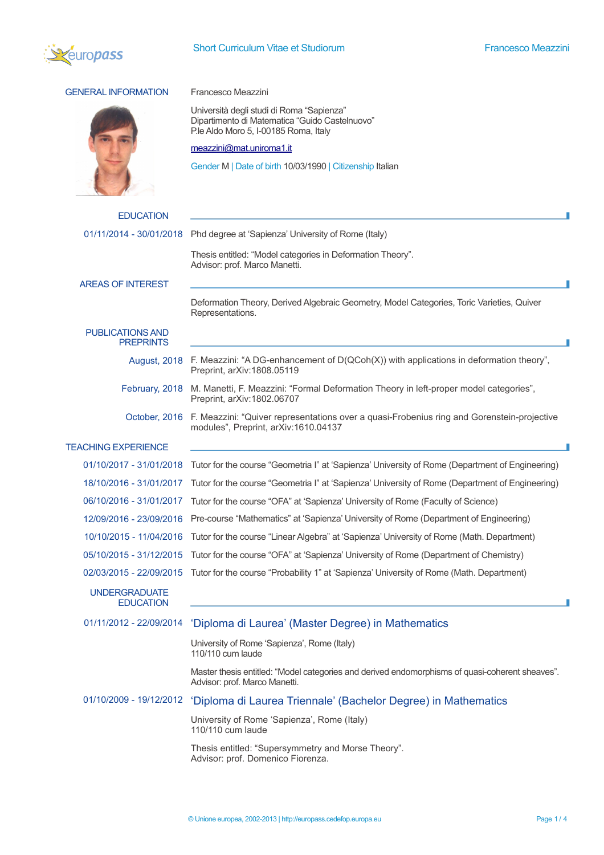

## short Curriculum Vitae et Studiorum **Short Curriculum Vitae et Studiorum** Francesco Meazzini<br>Purodestina and the Studiorum Studiorum Studiorum Studiorum Studiorum Studiorum Studiorum Studiorum Studiorum S

## GENERAL INFORMATION Francesco Meazzini Università degli studi di Roma "Sapienza" Dipartimento di Matematica "Guido Castelnuovo" P.le Aldo Moro 5, I-00185 Roma, Italy [meazzini@mat.uniroma1.it](mailto:meazzini@mat.uniroma1.it) Gender M | Date of birth 10/03/1990 | Citizenship Italian **EDUCATION** 01/11/2014 - 30/01/2018 Phd degree at 'Sapienza' University of Rome (Italy) Thesis entitled: "Model categories in Deformation Theory". Advisor: prof. Marco Manetti. AREAS OF INTEREST Deformation Theory, Derived Algebraic Geometry, Model Categories, Toric Varieties, Quiver Representations. PUBLICATIONS AND **PREPRINTS** August, 2018 F. Meazzini: "A DG-enhancement of D(QCoh(X)) with applications in deformation theory". Preprint, arXiv:1808.05119 February, 2018 M. Manetti, F. Meazzini: "Formal Deformation Theory in left-proper model categories", Preprint, arXiv:1802.06707 October, 2016 F. Meazzini: "Quiver representations over a quasi-Frobenius ring and Gorenstein-projective modules", Preprint, arXiv:1610.04137 TEACHING EXPERIENCE п 01/10/2017 - 31/01/2018 Tutor for the course "Geometria I" at 'Sapienza' University of Rome (Department of Engineering) 18/10/2016 - 31/01/2017 Tutor for the course "Geometria I" at 'Sapienza' University of Rome (Department of Engineering) 06/10/2016 - 31/01/2017 Tutor for the course "OFA" at 'Sapienza' University of Rome (Faculty of Science) 12/09/2016 - 23/09/2016 Pre-course "Mathematics" at 'Sapienza' University of Rome (Department of Engineering) 10/10/2015 - 11/04/2016 Tutor for the course "Linear Algebra" at 'Sapienza' University of Rome (Math. Department) 05/10/2015 - 31/12/2015 Tutor for the course "OFA" at 'Sapienza' University of Rome (Department of Chemistry) 02/03/2015 - 22/09/2015 Tutor for the course "Probability 1" at 'Sapienza' University of Rome (Math. Department) UNDERGRADUATE **EDUCATION** 01/11/2012 - 22/09/2014 'Diploma di Laurea' (Master Degree) in Mathematics University of Rome 'Sapienza', Rome (Italy) 110/110 cum laude Master thesis entitled: "Model categories and derived endomorphisms of quasi-coherent sheaves". Advisor: prof. Marco Manetti. 01/10/2009 - 19/12/2012 'Diploma di Laurea Triennale' (Bachelor Degree) in Mathematics University of Rome 'Sapienza', Rome (Italy) 110/110 cum laude Thesis entitled: "Supersymmetry and Morse Theory". Advisor: prof. Domenico Fiorenza.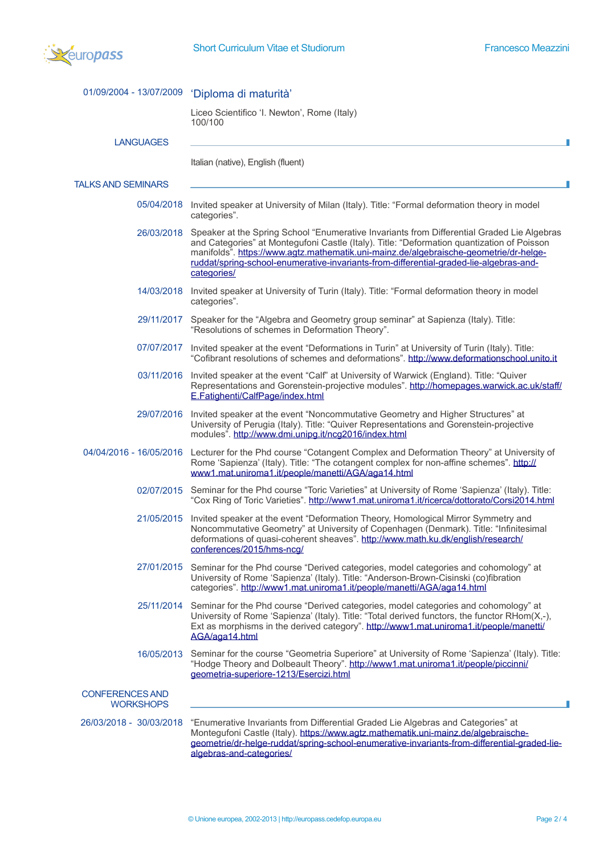

|                                            | 01/09/2004 - 13/07/2009 'Diploma di maturità'                                                                                                                                                                                                                                                                                                                                              |
|--------------------------------------------|--------------------------------------------------------------------------------------------------------------------------------------------------------------------------------------------------------------------------------------------------------------------------------------------------------------------------------------------------------------------------------------------|
|                                            | Liceo Scientifico 'I. Newton', Rome (Italy)<br>100/100                                                                                                                                                                                                                                                                                                                                     |
| <b>LANGUAGES</b>                           |                                                                                                                                                                                                                                                                                                                                                                                            |
|                                            | Italian (native), English (fluent)                                                                                                                                                                                                                                                                                                                                                         |
| <b>TALKS AND SEMINARS</b>                  |                                                                                                                                                                                                                                                                                                                                                                                            |
|                                            | 05/04/2018 Invited speaker at University of Milan (Italy). Title: "Formal deformation theory in model<br>categories".                                                                                                                                                                                                                                                                      |
| 26/03/2018                                 | Speaker at the Spring School "Enumerative Invariants from Differential Graded Lie Algebras<br>and Categories" at Montegufoni Castle (Italy). Title: "Deformation quantization of Poisson<br>manifolds". https://www.agtz.mathematik.uni-mainz.de/algebraische-geometrie/dr-helge-<br>ruddat/spring-school-enumerative-invariants-from-differential-graded-lie-algebras-and-<br>categories/ |
|                                            | 14/03/2018 Invited speaker at University of Turin (Italy). Title: "Formal deformation theory in model<br>categories".                                                                                                                                                                                                                                                                      |
| 29/11/2017                                 | Speaker for the "Algebra and Geometry group seminar" at Sapienza (Italy). Title:<br>"Resolutions of schemes in Deformation Theory".                                                                                                                                                                                                                                                        |
| 07/07/2017                                 | Invited speaker at the event "Deformations in Turin" at University of Turin (Italy). Title:<br>"Cofibrant resolutions of schemes and deformations". http://www.deformationschool.unito.it                                                                                                                                                                                                  |
| 03/11/2016                                 | Invited speaker at the event "Calf" at University of Warwick (England). Title: "Quiver<br>Representations and Gorenstein-projective modules". http://homepages.warwick.ac.uk/staff/<br>E.Fatighenti/CalfPage/index.html                                                                                                                                                                    |
| 29/07/2016                                 | Invited speaker at the event "Noncommutative Geometry and Higher Structures" at<br>University of Perugia (Italy). Title: "Quiver Representations and Gorenstein-projective<br>modules". http://www.dmi.unipg.it/ncg2016/index.html                                                                                                                                                         |
| 04/04/2016 - 16/05/2016                    | Lecturer for the Phd course "Cotangent Complex and Deformation Theory" at University of<br>Rome 'Sapienza' (Italy). Title: "The cotangent complex for non-affine schemes". http://<br>www1.mat.uniroma1.it/people/manetti/AGA/aga14.html                                                                                                                                                   |
|                                            | 02/07/2015 Seminar for the Phd course "Toric Varieties" at University of Rome 'Sapienza' (Italy). Title:<br>"Cox Ring of Toric Varieties". http://www1.mat.uniroma1.it/ricerca/dottorato/Corsi2014.html                                                                                                                                                                                    |
| 21/05/2015                                 | Invited speaker at the event "Deformation Theory, Homological Mirror Symmetry and<br>Noncommutative Geometry" at University of Copenhagen (Denmark). Title: "Infinitesimal<br>deformations of quasi-coherent sheaves". http://www.math.ku.dk/english/research/<br>conferences/2015/hms-ncg/                                                                                                |
| 27/01/2015                                 | Seminar for the Phd course "Derived categories, model categories and cohomology" at<br>University of Rome 'Sapienza' (Italy). Title: "Anderson-Brown-Cisinski (co)fibration<br>categories". http://www1.mat.uniroma1.it/people/manetti/AGA/aga14.html                                                                                                                                      |
| 25/11/2014                                 | Seminar for the Phd course "Derived categories, model categories and cohomology" at<br>University of Rome 'Sapienza' (Italy). Title: "Total derived functors, the functor RHom(X,-),<br>Ext as morphisms in the derived category". http://www1.mat.uniroma1.it/people/manetti/<br>AGA/aga14.html                                                                                           |
| 16/05/2013                                 | Seminar for the course "Geometria Superiore" at University of Rome 'Sapienza' (Italy). Title:<br>"Hodge Theory and Dolbeault Theory". http://www1.mat.uniroma1.it/people/piccinni/<br>geometria-superiore-1213/Esercizi.html                                                                                                                                                               |
| <b>CONFERENCES AND</b><br><b>WORKSHOPS</b> |                                                                                                                                                                                                                                                                                                                                                                                            |
| 26/03/2018 - 30/03/2018                    | "Enumerative Invariants from Differential Graded Lie Algebras and Categories" at<br>Montegufoni Castle (Italy). https://www.agtz.mathematik.uni-mainz.de/algebraische-<br>geometrie/dr-helge-ruddat/spring-school-enumerative-invariants-from-differential-graded-lie-<br>algebras-and-categories/                                                                                         |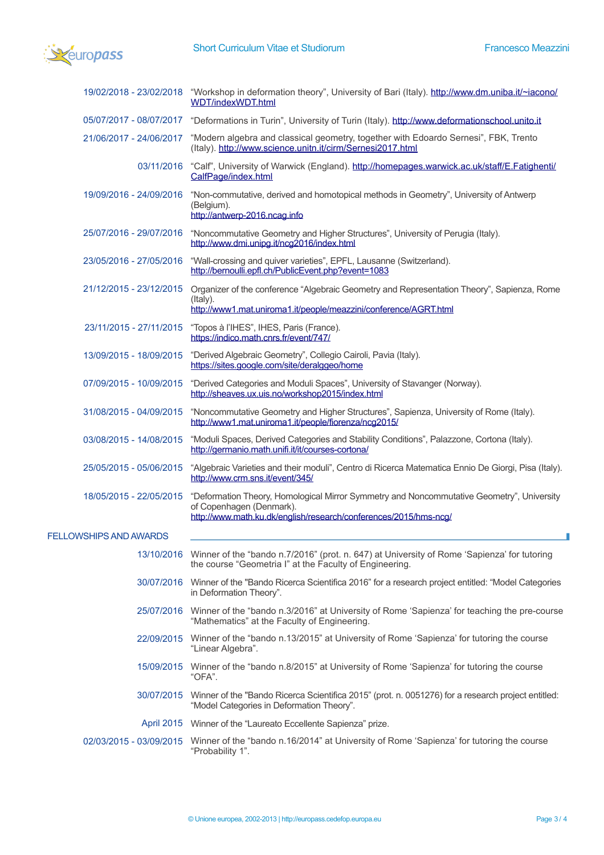

|                         | 19/02/2018 - 23/02/2018 "Workshop in deformation theory", University of Bari (Italy). http://www.dm.uniba.it/~iacono/<br>WDT/indexWDT.html                                                |
|-------------------------|-------------------------------------------------------------------------------------------------------------------------------------------------------------------------------------------|
|                         | 05/07/2017 - 08/07/2017 "Deformations in Turin", University of Turin (Italy). http://www.deformationschool.unito.it                                                                       |
|                         | 21/06/2017 - 24/06/2017 "Modern algebra and classical geometry, together with Edoardo Sernesi", FBK, Trento<br>(Italy). http://www.science.unitn.it/cirm/Sernesi2017.html                 |
|                         | 03/11/2016 "Calf", University of Warwick (England). http://homepages.warwick.ac.uk/staff/E.Fatighenti/<br>CalfPage/index.html                                                             |
| 19/09/2016 - 24/09/2016 | "Non-commutative, derived and homotopical methods in Geometry", University of Antwerp<br>(Belgium).<br>http://antwerp-2016.ncag.info                                                      |
| 25/07/2016 - 29/07/2016 | "Noncommutative Geometry and Higher Structures", University of Perugia (Italy).<br>http://www.dmi.unipg.it/ncg2016/index.html                                                             |
| 23/05/2016 - 27/05/2016 | "Wall-crossing and quiver varieties", EPFL, Lausanne (Switzerland).<br>http://bernoulli.epfl.ch/PublicEvent.php?event=1083                                                                |
| 21/12/2015 - 23/12/2015 | Organizer of the conference "Algebraic Geometry and Representation Theory", Sapienza, Rome<br>(Italy).<br>http://www1.mat.uniroma1.it/people/meazzini/conference/AGRT.html                |
| 23/11/2015 - 27/11/2015 | "Topos à l'IHES", IHES, Paris (France).<br>https://indico.math.cnrs.fr/event/747/                                                                                                         |
| 13/09/2015 - 18/09/2015 | "Derived Algebraic Geometry", Collegio Cairoli, Pavia (Italy).<br>https://sites.google.com/site/deralggeo/home                                                                            |
| 07/09/2015 - 10/09/2015 | "Derived Categories and Moduli Spaces", University of Stavanger (Norway).<br>http://sheaves.ux.uis.no/workshop2015/index.html                                                             |
| 31/08/2015 - 04/09/2015 | "Noncommutative Geometry and Higher Structures", Sapienza, University of Rome (Italy).<br>http://www1.mat.uniroma1.it/people/fiorenza/ncg2015/                                            |
| 03/08/2015 - 14/08/2015 | "Moduli Spaces, Derived Categories and Stability Conditions", Palazzone, Cortona (Italy).<br>http://germanio.math.unifi.it/it/courses-cortona/                                            |
| 25/05/2015 - 05/06/2015 | "Algebraic Varieties and their moduli", Centro di Ricerca Matematica Ennio De Giorgi, Pisa (Italy).<br>http://www.crm.sns.it/event/345/                                                   |
| 18/05/2015 - 22/05/2015 | "Deformation Theory, Homological Mirror Symmetry and Noncommutative Geometry", University<br>of Copenhagen (Denmark).<br>http://www.math.ku.dk/english/research/conferences/2015/hms-ncg/ |
| FELLOWSHIPS AND AWARDS  |                                                                                                                                                                                           |
|                         | 13/10/2016 Winner of the "bando n.7/2016" (prot. n. 647) at University of Rome 'Sapienza' for tutoring<br>the course "Geometria I" at the Faculty of Engineering.                         |
|                         | 30/07/2016 Winner of the "Bando Ricerca Scientifica 2016" for a research project entitled: "Model Categories<br>in Deformation Theory".                                                   |
|                         | 25/07/2016 Winner of the "bando n.3/2016" at University of Rome 'Sapienza' for teaching the pre-course<br>"Mathematics" at the Faculty of Engineering.                                    |
|                         | 22/09/2015 Winner of the "bando n.13/2015" at University of Rome 'Sapienza' for tutoring the course<br>"Linear Algebra".                                                                  |
| 15/09/2015              | Winner of the "bando n.8/2015" at University of Rome 'Sapienza' for tutoring the course<br>"OFA".                                                                                         |
| 30/07/2015              | Winner of the "Bando Ricerca Scientifica 2015" (prot. n. 0051276) for a research project entitled:<br>"Model Categories in Deformation Theory".                                           |
|                         | April 2015 Winner of the "Laureato Eccellente Sapienza" prize.                                                                                                                            |
|                         | 02/03/2015 - 03/09/2015 Winner of the "bando n.16/2014" at University of Rome 'Sapienza' for tutoring the course<br>"Probability 1".                                                      |